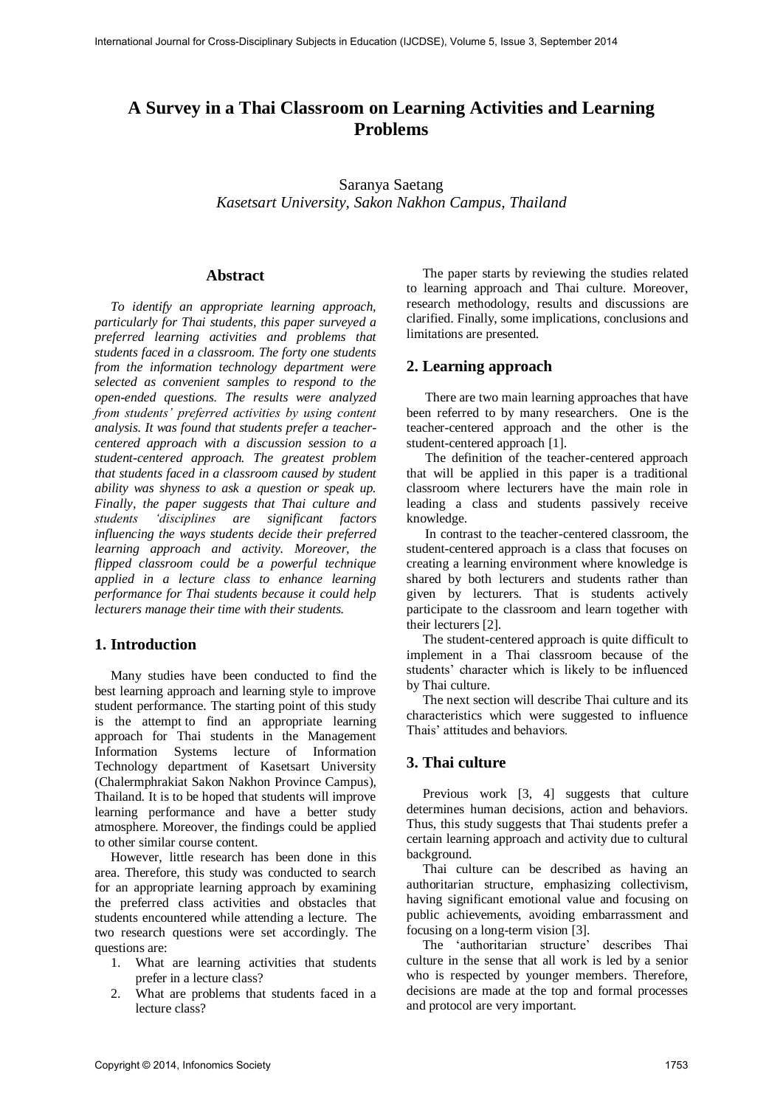# **A Survey in a Thai Classroom on Learning Activities and Learning Problems**

Saranya Saetang *Kasetsart University, Sakon Nakhon Campus, Thailand* 

#### **Abstract**

*To identify an appropriate learning approach, particularly for Thai students, this paper surveyed a preferred learning activities and problems that students faced in a classroom. The forty one students from the information technology department were selected as convenient samples to respond to the open-ended questions. The results were analyzed from students' preferred activities by using content analysis. It was found that students prefer a teachercentered approach with a discussion session to a student-centered approach. The greatest problem that students faced in a classroom caused by student ability was shyness to ask a question or speak up. Finally, the paper suggests that Thai culture and students 'disciplines are significant factors influencing the ways students decide their preferred learning approach and activity. Moreover, the flipped classroom could be a powerful technique applied in a lecture class to enhance learning performance for Thai students because it could help lecturers manage their time with their students.* 

### **1. Introduction**

Many studies have been conducted to find the best learning approach and learning style to improve student performance. The starting point of this study is the attempt to find an appropriate learning approach for Thai students in the Management Information Systems lecture of Information Technology department of Kasetsart University (Chalermphrakiat Sakon Nakhon Province Campus), Thailand. It is to be hoped that students will improve learning performance and have a better study atmosphere. Moreover, the findings could be applied to other similar course content.

However, little research has been done in this area. Therefore, this study was conducted to search for an appropriate learning approach by examining the preferred class activities and obstacles that students encountered while attending a lecture. The two research questions were set accordingly. The questions are:

- 1. What are learning activities that students prefer in a lecture class?
- 2. What are problems that students faced in a lecture class?

The paper starts by reviewing the studies related to learning approach and Thai culture. Moreover, research methodology, results and discussions are clarified. Finally, some implications, conclusions and limitations are presented*.*

### **2. Learning approach**

There are two main learning approaches that have been referred to by many researchers. One is the teacher-centered approach and the other is the student-centered approach [1].

The definition of the teacher-centered approach that will be applied in this paper is a traditional classroom where lecturers have the main role in leading a class and students passively receive knowledge.

In contrast to the teacher-centered classroom, the student-centered approach is a class that focuses on creating a learning environment where knowledge is shared by both lecturers and students rather than given by lecturers. That is students actively participate to the classroom and learn together with their lecturers [2].

The student-centered approach is quite difficult to implement in a Thai classroom because of the students' character which is likely to be influenced by Thai culture.

The next section will describe Thai culture and its characteristics which were suggested to influence Thais' attitudes and behaviors.

### **3. Thai culture**

Previous work [3, 4] suggests that culture determines human decisions, action and behaviors. Thus, this study suggests that Thai students prefer a certain learning approach and activity due to cultural background.

Thai culture can be described as having an authoritarian structure, emphasizing collectivism, having significant emotional value and focusing on public achievements, avoiding embarrassment and focusing on a long-term vision [3].

The 'authoritarian structure' describes Thai culture in the sense that all work is led by a senior who is respected by younger members. Therefore, decisions are made at the top and formal processes and protocol are very important.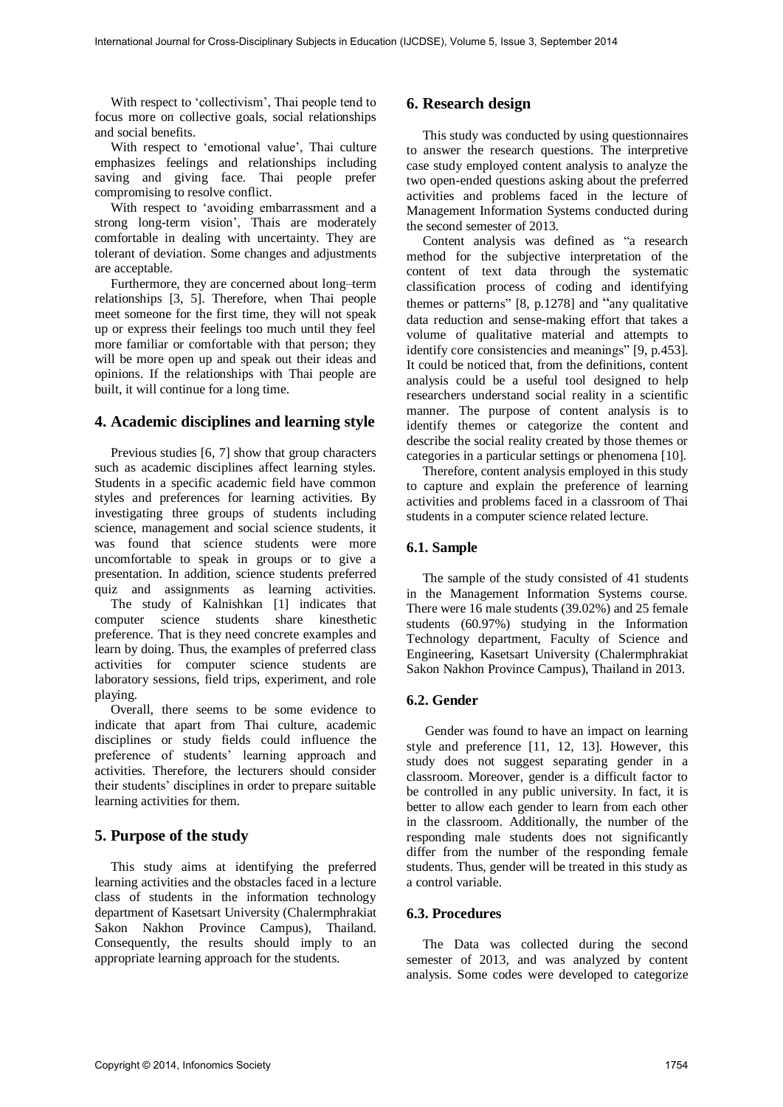With respect to 'collectivism', Thai people tend to focus more on collective goals, social relationships and social benefits.

With respect to 'emotional value', Thai culture emphasizes feelings and relationships including saving and giving face. Thai people prefer compromising to resolve conflict.

With respect to 'avoiding embarrassment and a strong long-term vision', Thais are moderately comfortable in dealing with uncertainty. They are tolerant of deviation. Some changes and adjustments are acceptable.

Furthermore, they are concerned about long–term relationships [3, 5]. Therefore, when Thai people meet someone for the first time, they will not speak up or express their feelings too much until they feel more familiar or comfortable with that person; they will be more open up and speak out their ideas and opinions. If the relationships with Thai people are built, it will continue for a long time.

### **4. Academic disciplines and learning style**

Previous studies [6, 7] show that group characters such as academic disciplines affect learning styles. Students in a specific academic field have common styles and preferences for learning activities. By investigating three groups of students including science, management and social science students, it was found that science students were more uncomfortable to speak in groups or to give a presentation. In addition, science students preferred quiz and assignments as learning activities.

 The study of Kalnishkan [1] indicates that computer science students share kinesthetic preference. That is they need concrete examples and learn by doing. Thus, the examples of preferred class activities for computer science students are laboratory sessions, field trips, experiment, and role playing.

Overall, there seems to be some evidence to indicate that apart from Thai culture, academic disciplines or study fields could influence the preference of students' learning approach and activities. Therefore, the lecturers should consider their students' disciplines in order to prepare suitable learning activities for them.

### **5. Purpose of the study**

This study aims at identifying the preferred learning activities and the obstacles faced in a lecture class of students in the information technology department of Kasetsart University (Chalermphrakiat Sakon Nakhon Province Campus), Thailand. Consequently, the results should imply to an appropriate learning approach for the students.

### **6. Research design**

This study was conducted by using questionnaires to answer the research questions. The interpretive case study employed content analysis to analyze the two open-ended questions asking about the preferred activities and problems faced in the lecture of Management Information Systems conducted during the second semester of 2013.

Content analysis was defined as "a research method for the subjective interpretation of the content of text data through the systematic classification process of coding and identifying themes or patterns" [8, p.1278] and "any qualitative data reduction and sense-making effort that takes a volume of qualitative material and attempts to identify core consistencies and meanings" [9, p.453]. It could be noticed that, from the definitions, content analysis could be a useful tool designed to help researchers understand social reality in a scientific manner. The purpose of content analysis is to identify themes or categorize the content and describe the social reality created by those themes or categories in a particular settings or phenomena [10].

Therefore, content analysis employed in this study to capture and explain the preference of learning activities and problems faced in a classroom of Thai students in a computer science related lecture.

#### **6.1. Sample**

The sample of the study consisted of 41 students in the Management Information Systems course. There were 16 male students (39.02%) and 25 female students (60.97%) studying in the Information Technology department, Faculty of Science and Engineering, Kasetsart University (Chalermphrakiat Sakon Nakhon Province Campus), Thailand in 2013.

#### **6.2. Gender**

Gender was found to have an impact on learning style and preference [11, 12, 13]. However, this study does not suggest separating gender in a classroom. Moreover, gender is a difficult factor to be controlled in any public university. In fact, it is better to allow each gender to learn from each other in the classroom. Additionally, the number of the responding male students does not significantly differ from the number of the responding female students. Thus, gender will be treated in this study as a control variable.

#### **6.3. Procedures**

The Data was collected during the second semester of 2013, and was analyzed by content analysis. Some codes were developed to categorize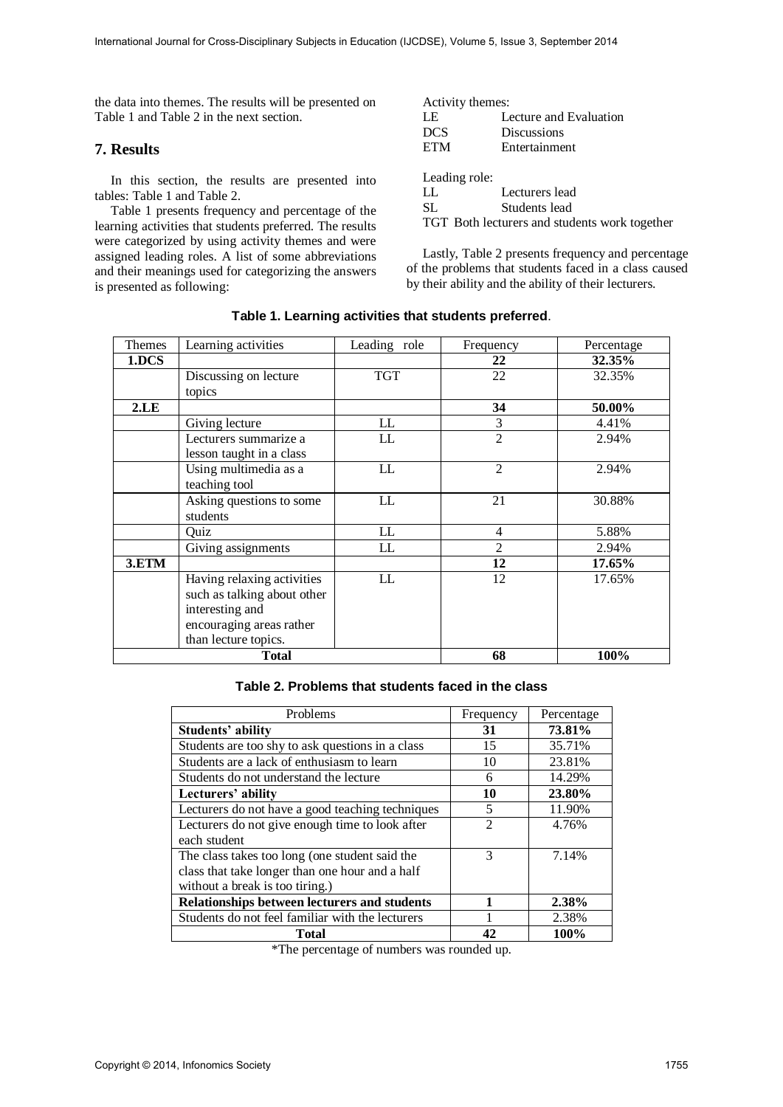the data into themes. The results will be presented on Table 1 and Table 2 in the next section.

#### **7. Results**

 In this section, the results are presented into tables: Table 1 and Table 2.

Table 1 presents frequency and percentage of the learning activities that students preferred. The results were categorized by using activity themes and were assigned leading roles. A list of some abbreviations and their meanings used for categorizing the answers is presented as following:

| Activity themes:                              |                        |  |  |  |
|-----------------------------------------------|------------------------|--|--|--|
| LE                                            | Lecture and Evaluation |  |  |  |
| DCS                                           | <b>Discussions</b>     |  |  |  |
| ETM                                           | Entertainment          |  |  |  |
|                                               |                        |  |  |  |
| Leading role:                                 |                        |  |  |  |
| LL                                            | Lecturers lead         |  |  |  |
| SL                                            | Students lead          |  |  |  |
| TGT Both lecturers and students work together |                        |  |  |  |

Lastly, Table 2 presents frequency and percentage of the problems that students faced in a class caused by their ability and the ability of their lecturers.

| Themes       | Learning activities         | Leading role | Frequency      | Percentage |
|--------------|-----------------------------|--------------|----------------|------------|
| 1.DCS        |                             |              | 22             | 32.35%     |
|              | Discussing on lecture       | <b>TGT</b>   | 22             | 32.35%     |
|              | topics                      |              |                |            |
| 2.LE         |                             |              | 34             | 50.00%     |
|              | Giving lecture              | LL           | 3              | 4.41%      |
|              | Lecturers summarize a       | LL           | $\overline{2}$ | 2.94%      |
|              | lesson taught in a class    |              |                |            |
|              | Using multimedia as a       | LL           | $\mathfrak{D}$ | 2.94%      |
|              | teaching tool               |              |                |            |
|              | Asking questions to some    | LL           | 21             | 30.88%     |
|              | students                    |              |                |            |
|              | Quiz                        | LL           | $\overline{4}$ | 5.88%      |
|              | Giving assignments          | LL           | 2              | 2.94%      |
| 3.ETM        |                             |              | 12             | 17.65%     |
|              | Having relaxing activities  | LL           | 12             | 17.65%     |
|              | such as talking about other |              |                |            |
|              | interesting and             |              |                |            |
|              | encouraging areas rather    |              |                |            |
|              | than lecture topics.        |              |                |            |
| <b>Total</b> |                             | 68           | 100%           |            |

| Table 1. Learning activities that students preferred. |  |  |  |
|-------------------------------------------------------|--|--|--|
|-------------------------------------------------------|--|--|--|

#### **Table 2. Problems that students faced in the class**

| Problems                                         | Frequency      | Percentage |
|--------------------------------------------------|----------------|------------|
| Students' ability                                | 31             | 73.81%     |
| Students are too shy to ask questions in a class | 15             | 35.71%     |
| Students are a lack of enthusiasm to learn       | 10             | 23.81%     |
| Students do not understand the lecture           | 6              | 14.29%     |
| Lecturers' ability                               | 10             | 23.80%     |
| Lecturers do not have a good teaching techniques | 5              | 11.90%     |
| Lecturers do not give enough time to look after  | $\mathfrak{D}$ | 4.76%      |
| each student                                     |                |            |
| The class takes too long (one student said the   | 3              | 7.14%      |
| class that take longer than one hour and a half  |                |            |
| without a break is too tiring.)                  |                |            |
| Relationships between lecturers and students     |                | 2.38%      |
| Students do not feel familiar with the lecturers |                | 2.38%      |
| <b>Total</b>                                     | 42             | 100%       |

\*The percentage of numbers was rounded up.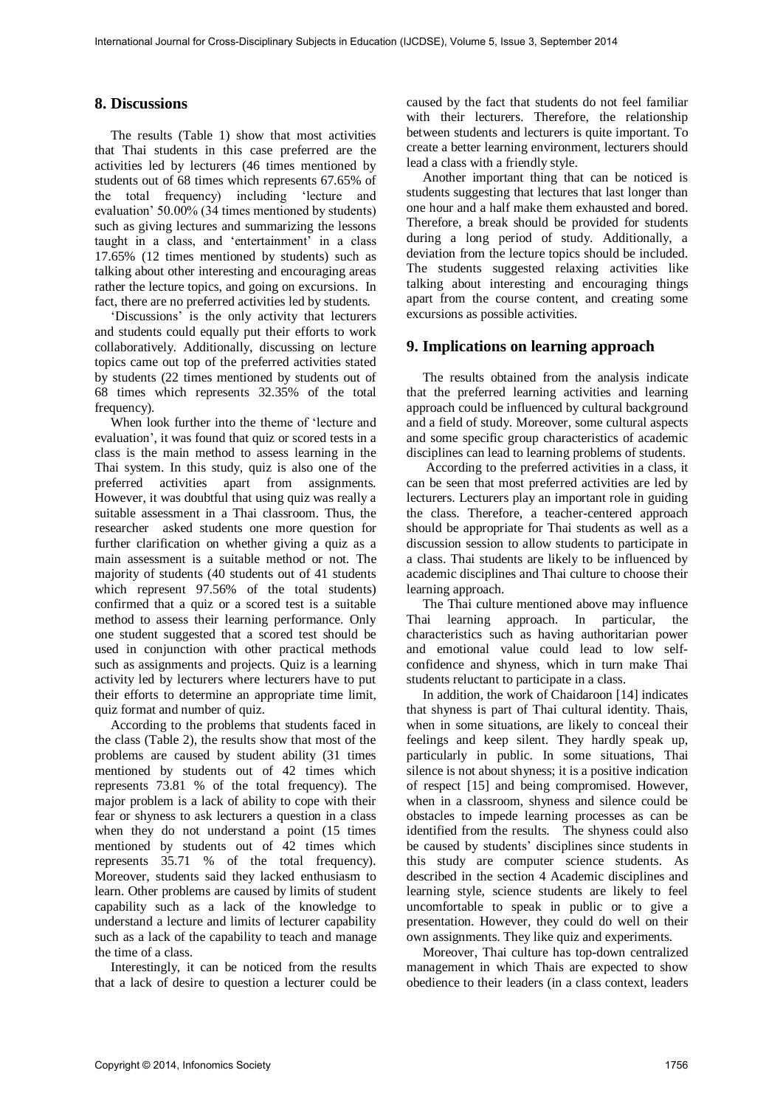### **8. Discussions**

The results (Table 1) show that most activities that Thai students in this case preferred are the activities led by lecturers (46 times mentioned by students out of 68 times which represents 67.65% of the total frequency) including 'lecture and evaluation' 50.00% (34 times mentioned by students) such as giving lectures and summarizing the lessons taught in a class, and 'entertainment' in a class 17.65% (12 times mentioned by students) such as talking about other interesting and encouraging areas rather the lecture topics, and going on excursions. In fact, there are no preferred activities led by students.

'Discussions' is the only activity that lecturers and students could equally put their efforts to work collaboratively. Additionally, discussing on lecture topics came out top of the preferred activities stated by students (22 times mentioned by students out of 68 times which represents 32.35% of the total frequency).

When look further into the theme of 'lecture and evaluation', it was found that quiz or scored tests in a class is the main method to assess learning in the Thai system. In this study, quiz is also one of the preferred activities apart from assignments. However, it was doubtful that using quiz was really a suitable assessment in a Thai classroom. Thus, the researcher asked students one more question for further clarification on whether giving a quiz as a main assessment is a suitable method or not. The majority of students (40 students out of 41 students which represent 97.56% of the total students) confirmed that a quiz or a scored test is a suitable method to assess their learning performance. Only one student suggested that a scored test should be used in conjunction with other practical methods such as assignments and projects. Quiz is a learning activity led by lecturers where lecturers have to put their efforts to determine an appropriate time limit, quiz format and number of quiz.

According to the problems that students faced in the class (Table 2), the results show that most of the problems are caused by student ability (31 times mentioned by students out of 42 times which represents 73.81 % of the total frequency). The major problem is a lack of ability to cope with their fear or shyness to ask lecturers a question in a class when they do not understand a point (15 times) mentioned by students out of 42 times which represents 35.71 % of the total frequency). Moreover, students said they lacked enthusiasm to learn. Other problems are caused by limits of student capability such as a lack of the knowledge to understand a lecture and limits of lecturer capability such as a lack of the capability to teach and manage the time of a class.

Interestingly, it can be noticed from the results that a lack of desire to question a lecturer could be

caused by the fact that students do not feel familiar with their lecturers. Therefore, the relationship between students and lecturers is quite important. To create a better learning environment, lecturers should lead a class with a friendly style.

Another important thing that can be noticed is students suggesting that lectures that last longer than one hour and a half make them exhausted and bored. Therefore, a break should be provided for students during a long period of study. Additionally, a deviation from the lecture topics should be included. The students suggested relaxing activities like talking about interesting and encouraging things apart from the course content, and creating some excursions as possible activities.

### **9. Implications on learning approach**

The results obtained from the analysis indicate that the preferred learning activities and learning approach could be influenced by cultural background and a field of study. Moreover, some cultural aspects and some specific group characteristics of academic disciplines can lead to learning problems of students.

 According to the preferred activities in a class, it can be seen that most preferred activities are led by lecturers. Lecturers play an important role in guiding the class. Therefore, a teacher-centered approach should be appropriate for Thai students as well as a discussion session to allow students to participate in a class. Thai students are likely to be influenced by academic disciplines and Thai culture to choose their learning approach.

The Thai culture mentioned above may influence Thai learning approach. In particular, the characteristics such as having authoritarian power and emotional value could lead to low selfconfidence and shyness, which in turn make Thai students reluctant to participate in a class.

In addition, the work of Chaidaroon [14] indicates that shyness is part of Thai cultural identity. Thais, when in some situations, are likely to conceal their feelings and keep silent. They hardly speak up, particularly in public. In some situations, Thai silence is not about shyness; it is a positive indication of respect [15] and being compromised. However, when in a classroom, shyness and silence could be obstacles to impede learning processes as can be identified from the results. The shyness could also be caused by students' disciplines since students in this study are computer science students. As described in the section 4 Academic disciplines and learning style, science students are likely to feel uncomfortable to speak in public or to give a presentation. However, they could do well on their own assignments. They like quiz and experiments.

Moreover, Thai culture has top-down centralized management in which Thais are expected to show obedience to their leaders (in a class context, leaders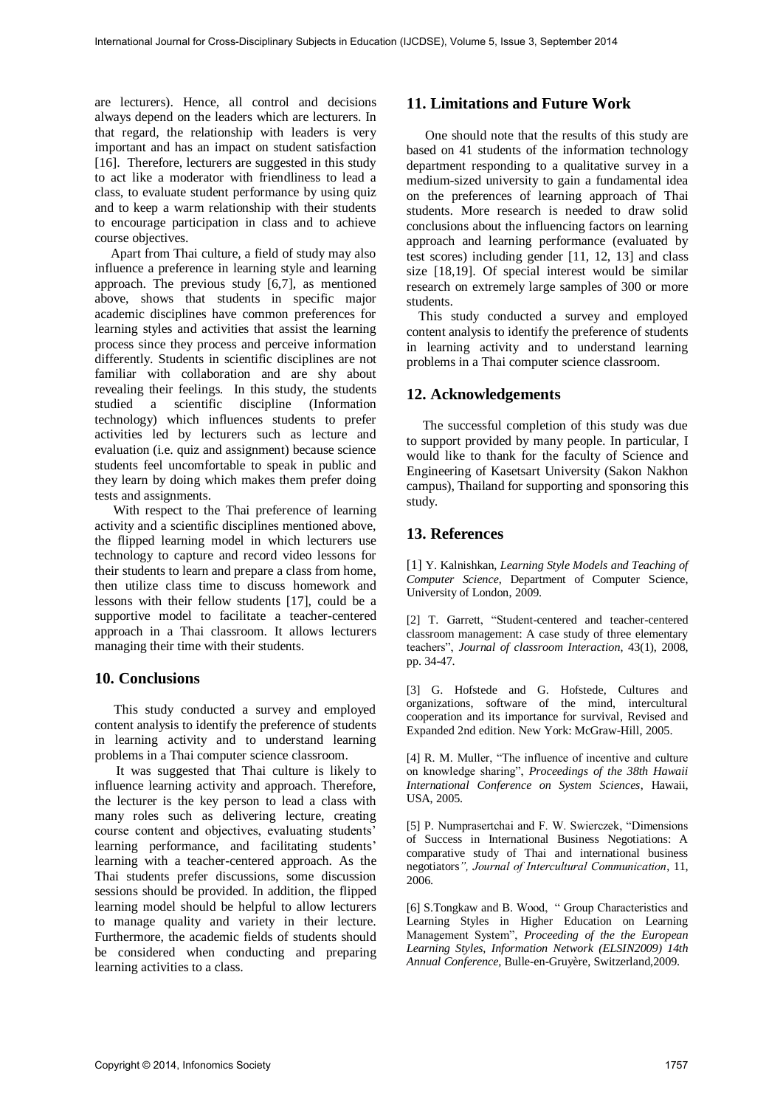are lecturers). Hence, all control and decisions always depend on the leaders which are lecturers. In that regard, the relationship with leaders is very important and has an impact on student satisfaction [16]. Therefore, lecturers are suggested in this study to act like a moderator with friendliness to lead a class, to evaluate student performance by using quiz and to keep a warm relationship with their students to encourage participation in class and to achieve course objectives.

Apart from Thai culture, a field of study may also influence a preference in learning style and learning approach. The previous study [6,7], as mentioned above, shows that students in specific major academic disciplines have common preferences for learning styles and activities that assist the learning process since they process and perceive information differently. Students in scientific disciplines are not familiar with collaboration and are shy about revealing their feelings. In this study, the students studied a scientific discipline (Information technology) which influences students to prefer activities led by lecturers such as lecture and evaluation (i.e. quiz and assignment) because science students feel uncomfortable to speak in public and they learn by doing which makes them prefer doing tests and assignments.

With respect to the Thai preference of learning activity and a scientific disciplines mentioned above, the flipped learning model in which lecturers use technology to capture and record video lessons for their students to learn and prepare a class from home, then utilize class time to discuss homework and lessons with their fellow students [17], could be a supportive model to facilitate a teacher-centered approach in a Thai classroom. It allows lecturers managing their time with their students.

### **10. Conclusions**

 This study conducted a survey and employed content analysis to identify the preference of students in learning activity and to understand learning problems in a Thai computer science classroom.

 It was suggested that Thai culture is likely to influence learning activity and approach. Therefore, the lecturer is the key person to lead a class with many roles such as delivering lecture, creating course content and objectives, evaluating students' learning performance, and facilitating students' learning with a teacher-centered approach. As the Thai students prefer discussions, some discussion sessions should be provided. In addition, the flipped learning model should be helpful to allow lecturers to manage quality and variety in their lecture. Furthermore, the academic fields of students should be considered when conducting and preparing learning activities to a class.

## **11. Limitations and Future Work**

One should note that the results of this study are based on 41 students of the information technology department responding to a qualitative survey in a medium-sized university to gain a fundamental idea on the preferences of learning approach of Thai students. More research is needed to draw solid conclusions about the influencing factors on learning approach and learning performance (evaluated by test scores) including gender [11, 12, 13] and class size [18,19]. Of special interest would be similar research on extremely large samples of 300 or more students.

This study conducted a survey and employed content analysis to identify the preference of students in learning activity and to understand learning problems in a Thai computer science classroom.

### **12. Acknowledgements**

The successful completion of this study was due to support provided by many people. In particular, I would like to thank for the faculty of Science and Engineering of Kasetsart University (Sakon Nakhon campus), Thailand for supporting and sponsoring this study.

### **13. References**

[1] Y. Kalnishkan, *Learning Style Models and Teaching of Computer Science*, Department of Computer Science, University of London, 2009.

[2] T. Garrett, "Student-centered and teacher-centered classroom management: A case study of three elementary teachers", *Journal of classroom Interaction*, 43(1), 2008, pp. 34-47.

[3] G. Hofstede and G. Hofstede, Cultures and organizations, software of the mind, intercultural cooperation and its importance for survival, Revised and Expanded 2nd edition. New York: McGraw-Hill, 2005.

[4] R. M. Muller, "The influence of incentive and culture on knowledge sharing", *Proceedings of the 38th Hawaii International Conference on System Sciences*, Hawaii, USA, 2005.

[5] P. Numprasertchai and F. W. Swierczek, "Dimensions of Success in International Business Negotiations: A comparative study of Thai and international business negotiators*", Journal of Intercultural Communication*, 11, 2006.

[6] S.Tongkaw and B. Wood, " Group Characteristics and Learning Styles in Higher Education on Learning Management System", *Proceeding of the the European Learning Styles, Information Network (ELSIN2009) 14th Annual Conference,* Bulle-en-Gruyère, Switzerland,2009.